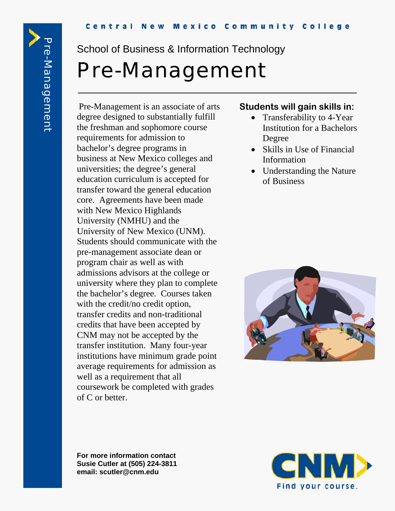School of Business & Information Technology

# Pre-Management

Pre-Management is an associate of arts degree designed to substantially fulfill the freshman and sophomore course requirements for admission to bachelor's degree programs in business at New Mexico colleges and universities; the degree's general education curriculum is accepted for transfer toward the general education core. Agreements have been made with New Mexico Highlands University (NMHU) and the University of New Mexico (UNM). Students should communicate with the pre-management associate dean or program chair as well as with admissions advisors at the college or university where they plan to complete the bachelor's degree. Courses taken with the credit/no credit option, transfer credits and non-traditional credits that have been accepted by CNM may not be accepted by the transfer institution. Many four-year institutions have minimum grade point average requirements for admission as well as a requirement that all coursework be completed with grades of C or better.

### **Students will gain skills in:**

- Transferability to 4-Year Institution for a Bachelors Degree
- Skills in Use of Financial Information
- Understanding the Nature of Business



**For more information contact Susie Cutler at (505) 224-3811 email: scutler@cnm.edu**